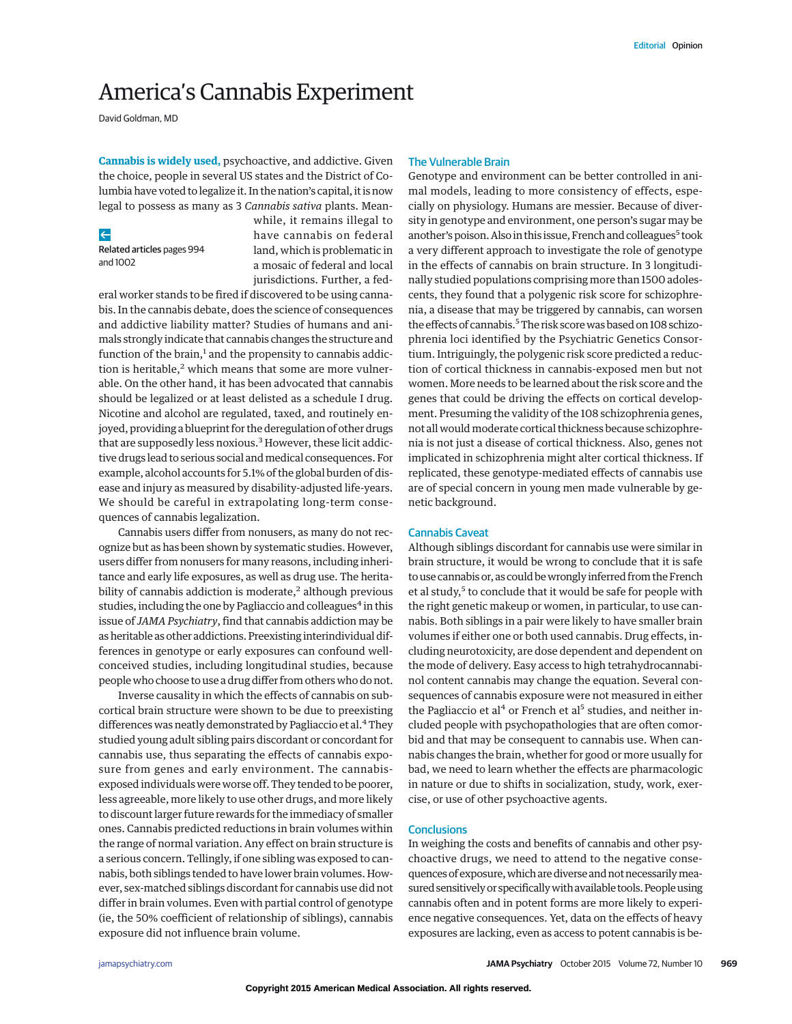# America's Cannabis Experiment

David Goldman, MD

**Cannabis is widely used,** psychoactive, and addictive. Given the choice, people in several US states and the District of Columbia have voted to legalize it. In the nation's capital, it is now legal to possess as many as 3 *Cannabis sativa* plants. Mean-

# $\leftarrow$

Related articles pages 994 and 1002

while, it remains illegal to have cannabis on federal land, which is problematic in a mosaic of federal and local jurisdictions. Further, a fed-

eral worker stands to be fired if discovered to be using cannabis. In the cannabis debate, does the science of consequences and addictive liability matter? Studies of humans and animals strongly indicate that cannabis changes the structure and function of the brain, $<sup>1</sup>$  and the propensity to cannabis addic-</sup> tion is heritable, $2$  which means that some are more vulnerable. On the other hand, it has been advocated that cannabis should be legalized or at least delisted as a schedule I drug. Nicotine and alcohol are regulated, taxed, and routinely enjoyed, providing a blueprint for the deregulation of other drugs that are supposedly less noxious.<sup>3</sup> However, these licit addictive drugs lead to serious social and medical consequences. For example, alcohol accounts for 5.1% of the global burden of disease and injury as measured by disability-adjusted life-years. We should be careful in extrapolating long-term consequences of cannabis legalization.

Cannabis users differ from nonusers, as many do not recognize but as has been shown by systematic studies. However, users differ from nonusers for many reasons, including inheritance and early life exposures, as well as drug use. The heritability of cannabis addiction is moderate, $2$  although previous studies, including the one by Pagliaccio and colleagues<sup>4</sup> in this issue of *JAMA Psychiatry*, find that cannabis addiction may be as heritable as other addictions. Preexisting interindividual differences in genotype or early exposures can confound wellconceived studies, including longitudinal studies, because people who choose to use a drug differ from others who do not.

Inverse causality in which the effects of cannabis on subcortical brain structure were shown to be due to preexisting differences was neatly demonstrated by Pagliaccio et al.<sup>4</sup> They studied young adult sibling pairs discordant or concordant for cannabis use, thus separating the effects of cannabis exposure from genes and early environment. The cannabisexposed individuals were worse off. They tended to be poorer, less agreeable, more likely to use other drugs, and more likely to discount larger future rewards for the immediacy of smaller ones. Cannabis predicted reductions in brain volumes within the range of normal variation. Any effect on brain structure is a serious concern. Tellingly, if one sibling was exposed to cannabis, both siblings tended to have lower brain volumes. However, sex-matched siblings discordant for cannabis use did not differ in brain volumes. Even with partial control of genotype (ie, the 50% coefficient of relationship of siblings), cannabis exposure did not influence brain volume.

#### The Vulnerable Brain

Genotype and environment can be better controlled in animal models, leading to more consistency of effects, especially on physiology. Humans are messier. Because of diversity in genotype and environment, one person's sugar may be another's poison. Also in this issue, French and colleagues<sup>5</sup> took a very different approach to investigate the role of genotype in the effects of cannabis on brain structure. In 3 longitudinally studied populations comprising more than 1500 adolescents, they found that a polygenic risk score for schizophrenia, a disease that may be triggered by cannabis, can worsen the effects of cannabis.<sup>5</sup> The risk score was based on 108 schizophrenia loci identified by the Psychiatric Genetics Consortium. Intriguingly, the polygenic risk score predicted a reduction of cortical thickness in cannabis-exposed men but not women. More needs to be learned about the risk score and the genes that could be driving the effects on cortical development. Presuming the validity of the 108 schizophrenia genes, not all would moderate cortical thickness because schizophrenia is not just a disease of cortical thickness. Also, genes not implicated in schizophrenia might alter cortical thickness. If replicated, these genotype-mediated effects of cannabis use are of special concern in young men made vulnerable by genetic background.

# Cannabis Caveat

Although siblings discordant for cannabis use were similar in brain structure, it would be wrong to conclude that it is safe to use cannabis or, as could bewrongly inferred from the French et al study,<sup>5</sup> to conclude that it would be safe for people with the right genetic makeup or women, in particular, to use cannabis. Both siblings in a pair were likely to have smaller brain volumes if either one or both used cannabis. Drug effects, including neurotoxicity, are dose dependent and dependent on the mode of delivery. Easy access to high tetrahydrocannabinol content cannabis may change the equation. Several consequences of cannabis exposure were not measured in either the Pagliaccio et al<sup>4</sup> or French et al<sup>5</sup> studies, and neither included people with psychopathologies that are often comorbid and that may be consequent to cannabis use. When cannabis changes the brain, whether for good or more usually for bad, we need to learn whether the effects are pharmacologic in nature or due to shifts in socialization, study, work, exercise, or use of other psychoactive agents.

## **Conclusions**

In weighing the costs and benefits of cannabis and other psychoactive drugs, we need to attend to the negative consequences of exposure, which are diverse and not necessarily measured sensitively or specifically with available tools. People using cannabis often and in potent forms are more likely to experience negative consequences. Yet, data on the effects of heavy exposures are lacking, even as access to potent cannabis is be